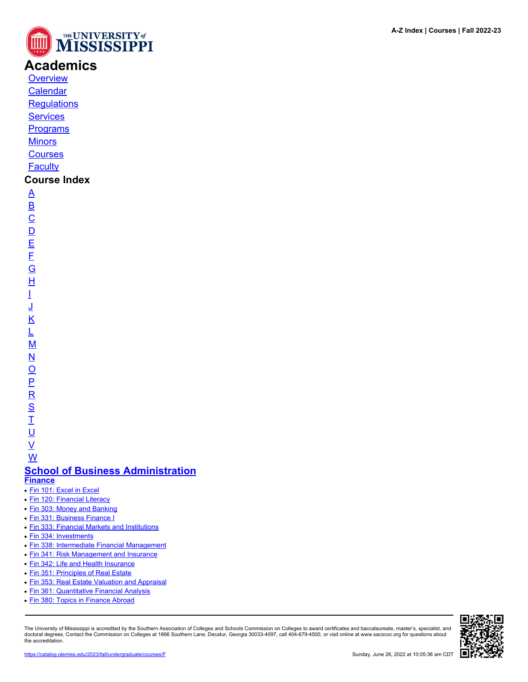

# **Academics**

**[Overview](https://catalog.olemiss.edu/academics)** [Calendar](https://catalog.olemiss.edu/academics/calendar)

**[Regulations](https://catalog.olemiss.edu/academics/regulations)** 

**[Services](https://catalog.olemiss.edu/academics/services)** 

**[Programs](https://catalog.olemiss.edu/programs)** 

**[Minors](https://catalog.olemiss.edu/minors)** 

**[Courses](https://catalog.olemiss.edu/courses)** 

**[Faculty](https://catalog.olemiss.edu/faculty)** 

## **Course Index**

[A](https://catalog.olemiss.edu/courses/A) [B](https://catalog.olemiss.edu/courses/B)  $\overline{C}$  $\overline{C}$  $\overline{C}$  $\overline{D}$  $\overline{D}$  $\overline{D}$ [E](https://catalog.olemiss.edu/courses/E) [F](https://catalog.olemiss.edu/courses/F) [G](https://catalog.olemiss.edu/courses/G) [H](https://catalog.olemiss.edu/courses/H) [I](https://catalog.olemiss.edu/courses/I) [J](https://catalog.olemiss.edu/courses/J) [K](https://catalog.olemiss.edu/courses/K) [L](https://catalog.olemiss.edu/courses/L) [M](https://catalog.olemiss.edu/courses/M) [N](https://catalog.olemiss.edu/courses/N)  $\overline{O}$  $\overline{O}$  $\overline{O}$ [P](https://catalog.olemiss.edu/courses/P)  $\overline{\mathsf{R}}$  $\overline{\mathsf{R}}$  $\overline{\mathsf{R}}$ [S](https://catalog.olemiss.edu/courses/S)  $\overline{1}$ 

<u>ប</u>  $\underline{\mathsf{V}}$  $\underline{\mathsf{V}}$  $\underline{\mathsf{V}}$ [W](https://catalog.olemiss.edu/courses/W)

### **[School of Business Administration](https://catalog.olemiss.edu/business) [Finance](https://catalog.olemiss.edu/business/finance)**

- [Fin 101: Excel in Excel](https://catalog.olemiss.edu/business/finance/fin-101)
- [Fin 120: Financial Literacy](https://catalog.olemiss.edu/business/finance/fin-120)
- [Fin 303: Money and Banking](https://catalog.olemiss.edu/business/finance/fin-303)
- [Fin 331: Business Finance I](https://catalog.olemiss.edu/business/finance/fin-331)
- [Fin 333: Financial Markets and Institutions](https://catalog.olemiss.edu/business/finance/fin-333)
- [Fin 334: Investments](https://catalog.olemiss.edu/business/finance/fin-334)
- [Fin 338: Intermediate Financial Management](https://catalog.olemiss.edu/business/finance/fin-338)
- [Fin 341: Risk Management and Insurance](https://catalog.olemiss.edu/business/finance/fin-341)
- [Fin 342: Life and Health Insurance](https://catalog.olemiss.edu/business/finance/fin-342)
- [Fin 351: Principles of Real Estate](https://catalog.olemiss.edu/business/finance/fin-351)
- [Fin 353: Real Estate Valuation and Appraisal](https://catalog.olemiss.edu/business/finance/fin-353)
- [Fin 361: Quantitative Financial Analysis](https://catalog.olemiss.edu/business/finance/fin-361)
- [Fin 380: Topics in Finance Abroad](https://catalog.olemiss.edu/business/finance/fin-380)

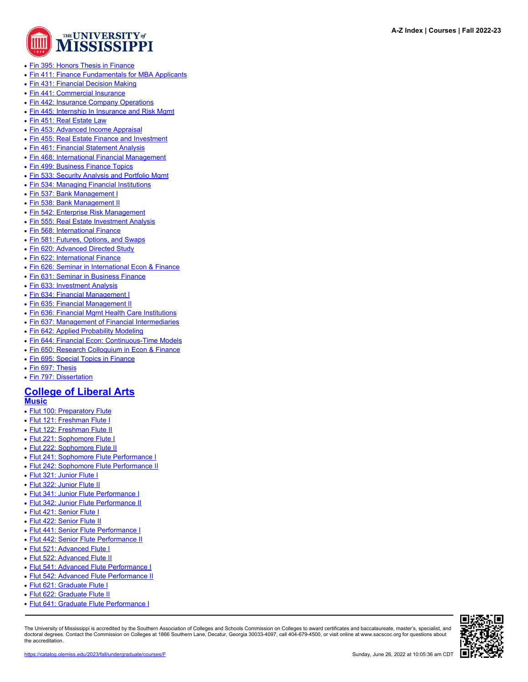

- [Fin 395: Honors Thesis in Finance](https://catalog.olemiss.edu/business/finance/fin-395)
- [Fin 411: Finance Fundamentals for MBA Applicants](https://catalog.olemiss.edu/business/finance/fin-411)
- [Fin 431: Financial Decision Making](https://catalog.olemiss.edu/business/finance/fin-431)
- [Fin 441: Commercial Insurance](https://catalog.olemiss.edu/business/finance/fin-441)
- [Fin 442: Insurance Company Operations](https://catalog.olemiss.edu/business/finance/fin-442)
- [Fin 445: Internship In Insurance and Risk Mgmt](https://catalog.olemiss.edu/business/finance/fin-445)
- [Fin 451: Real Estate Law](https://catalog.olemiss.edu/business/finance/fin-451)
- [Fin 453: Advanced Income Appraisal](https://catalog.olemiss.edu/business/finance/fin-453)
- [Fin 455: Real Estate Finance and Investment](https://catalog.olemiss.edu/business/finance/fin-455)
- [Fin 461: Financial Statement Analysis](https://catalog.olemiss.edu/business/finance/fin-461)
- [Fin 468: International Financial Management](https://catalog.olemiss.edu/business/finance/fin-468)
- [Fin 499: Business Finance Topics](https://catalog.olemiss.edu/business/finance/fin-499)
- [Fin 533: Security Analysis and Portfolio Mgmt](https://catalog.olemiss.edu/business/finance/fin-533)
- [Fin 534: Managing Financial Institutions](https://catalog.olemiss.edu/business/finance/fin-534)
- [Fin 537: Bank Management I](https://catalog.olemiss.edu/business/finance/fin-537)
- [Fin 538: Bank Management II](https://catalog.olemiss.edu/business/finance/fin-538)
- [Fin 542: Enterprise Risk Management](https://catalog.olemiss.edu/business/finance/fin-542)
- [Fin 555: Real Estate Investment Analysis](https://catalog.olemiss.edu/business/finance/fin-555)
- [Fin 568: International Finance](https://catalog.olemiss.edu/business/finance/fin-568)
- [Fin 581: Futures, Options, and Swaps](https://catalog.olemiss.edu/business/finance/fin-581)
- [Fin 620: Advanced Directed Study](https://catalog.olemiss.edu/business/finance/fin-620)
- [Fin 622: International Finance](https://catalog.olemiss.edu/business/finance/fin-622)
- [Fin 626: Seminar in International Econ & Finance](https://catalog.olemiss.edu/business/finance/fin-626)
- [Fin 631: Seminar in Business Finance](https://catalog.olemiss.edu/business/finance/fin-631)
- [Fin 633: Investment Analysis](https://catalog.olemiss.edu/business/finance/fin-633)
- [Fin 634: Financial Management I](https://catalog.olemiss.edu/business/finance/fin-634)
- [Fin 635: Financial Management II](https://catalog.olemiss.edu/business/finance/fin-635)
- [Fin 636: Financial Mgmt Health Care Institutions](https://catalog.olemiss.edu/business/finance/fin-636)
- [Fin 637: Management of Financial Intermediaries](https://catalog.olemiss.edu/business/finance/fin-637)
- [Fin 642: Applied Probability Modeling](https://catalog.olemiss.edu/business/finance/fin-642)
- [Fin 644: Financial Econ: Continuous-Time Models](https://catalog.olemiss.edu/business/finance/fin-644)
- [Fin 650: Research Colloquium in Econ & Finance](https://catalog.olemiss.edu/business/finance/fin-650)
- [Fin 695: Special Topics in Finance](https://catalog.olemiss.edu/business/finance/fin-695)
- [Fin 697: Thesis](https://catalog.olemiss.edu/business/finance/fin-697)
- [Fin 797: Dissertation](https://catalog.olemiss.edu/business/finance/fin-797)

# **[College of Liberal Arts](https://catalog.olemiss.edu/liberal-arts)**

### **[Music](https://catalog.olemiss.edu/liberal-arts/music)**

- [Flut 100: Preparatory Flute](https://catalog.olemiss.edu/liberal-arts/music/flut-100)
- [Flut 121: Freshman Flute I](https://catalog.olemiss.edu/liberal-arts/music/flut-121)
- [Flut 122: Freshman Flute II](https://catalog.olemiss.edu/liberal-arts/music/flut-122)
- [Flut 221: Sophomore Flute I](https://catalog.olemiss.edu/liberal-arts/music/flut-221)
- [Flut 222: Sophomore Flute II](https://catalog.olemiss.edu/liberal-arts/music/flut-222)
- [Flut 241: Sophomore Flute Performance I](https://catalog.olemiss.edu/liberal-arts/music/flut-241)
- [Flut 242: Sophomore Flute Performance II](https://catalog.olemiss.edu/liberal-arts/music/flut-242)
- [Flut 321: Junior Flute I](https://catalog.olemiss.edu/liberal-arts/music/flut-321)
- [Flut 322: Junior Flute II](https://catalog.olemiss.edu/liberal-arts/music/flut-322)
- [Flut 341: Junior Flute Performance I](https://catalog.olemiss.edu/liberal-arts/music/flut-341)
- [Flut 342: Junior Flute Performance II](https://catalog.olemiss.edu/liberal-arts/music/flut-342)
- [Flut 421: Senior Flute I](https://catalog.olemiss.edu/liberal-arts/music/flut-421)
- [Flut 422: Senior Flute II](https://catalog.olemiss.edu/liberal-arts/music/flut-422)
- [Flut 441: Senior Flute Performance I](https://catalog.olemiss.edu/liberal-arts/music/flut-441)
- [Flut 442: Senior Flute Performance II](https://catalog.olemiss.edu/liberal-arts/music/flut-442)
- [Flut 521: Advanced Flute I](https://catalog.olemiss.edu/liberal-arts/music/flut-521)
- [Flut 522: Advanced Flute II](https://catalog.olemiss.edu/liberal-arts/music/flut-522)
- [Flut 541: Advanced Flute Performance I](https://catalog.olemiss.edu/liberal-arts/music/flut-541)
- [Flut 542: Advanced Flute Performance II](https://catalog.olemiss.edu/liberal-arts/music/flut-542)
- [Flut 621: Graduate Flute I](https://catalog.olemiss.edu/liberal-arts/music/flut-621)
- [Flut 622: Graduate Flute II](https://catalog.olemiss.edu/liberal-arts/music/flut-622)
- [Flut 641: Graduate Flute Performance I](https://catalog.olemiss.edu/liberal-arts/music/flut-641)

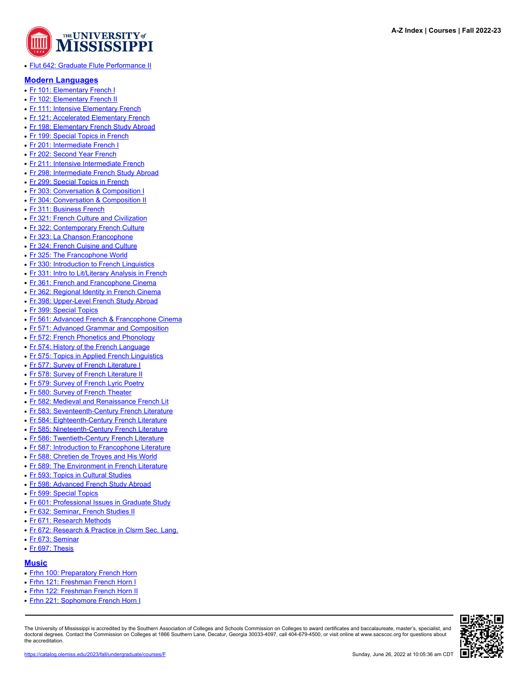

● [Flut 642: Graduate Flute Performance II](https://catalog.olemiss.edu/liberal-arts/music/flut-642)

#### **[Modern Languages](https://catalog.olemiss.edu/liberal-arts/modern-languages)**

- [Fr 101: Elementary French I](https://catalog.olemiss.edu/liberal-arts/modern-languages/fr-101)
- [Fr 102: Elementary French II](https://catalog.olemiss.edu/liberal-arts/modern-languages/fr-102)
- [Fr 111: Intensive Elementary French](https://catalog.olemiss.edu/liberal-arts/modern-languages/fr-111)
- [Fr 121: Accelerated Elementary French](https://catalog.olemiss.edu/liberal-arts/modern-languages/fr-121)
- [Fr 198: Elementary French Study Abroad](https://catalog.olemiss.edu/liberal-arts/modern-languages/fr-198)
- [Fr 199: Special Topics in French](https://catalog.olemiss.edu/liberal-arts/modern-languages/fr-199)
- [Fr 201: Intermediate French I](https://catalog.olemiss.edu/liberal-arts/modern-languages/fr-201)
- [Fr 202: Second Year French](https://catalog.olemiss.edu/liberal-arts/modern-languages/fr-202)
- [Fr 211: Intensive Intermediate French](https://catalog.olemiss.edu/liberal-arts/modern-languages/fr-211)
- [Fr 298: Intermediate French Study Abroad](https://catalog.olemiss.edu/liberal-arts/modern-languages/fr-298)
- [Fr 299: Special Topics in French](https://catalog.olemiss.edu/liberal-arts/modern-languages/fr-299)
- [Fr 303: Conversation & Composition I](https://catalog.olemiss.edu/liberal-arts/modern-languages/fr-303)
- [Fr 304: Conversation & Composition II](https://catalog.olemiss.edu/liberal-arts/modern-languages/fr-304)
- [Fr 311: Business French](https://catalog.olemiss.edu/liberal-arts/modern-languages/fr-311)
- [Fr 321: French Culture and Civilization](https://catalog.olemiss.edu/liberal-arts/modern-languages/fr-321)
- [Fr 322: Contemporary French Culture](https://catalog.olemiss.edu/liberal-arts/modern-languages/fr-322)
- [Fr 323: La Chanson Francophone](https://catalog.olemiss.edu/liberal-arts/modern-languages/fr-323)
- [Fr 324: French Cuisine and Culture](https://catalog.olemiss.edu/liberal-arts/modern-languages/fr-324)
- [Fr 325: The Francophone World](https://catalog.olemiss.edu/liberal-arts/modern-languages/fr-325)
- [Fr 330: Introduction to French Linguistics](https://catalog.olemiss.edu/liberal-arts/modern-languages/fr-330)
- [Fr 331: Intro to Lit/Literary Analysis in French](https://catalog.olemiss.edu/liberal-arts/modern-languages/fr-331)
- [Fr 361: French and Francophone Cinema](https://catalog.olemiss.edu/liberal-arts/modern-languages/fr-361)
- [Fr 362: Regional Identity in French Cinema](https://catalog.olemiss.edu/liberal-arts/modern-languages/fr-362)
- [Fr 398: Upper-Level French Study Abroad](https://catalog.olemiss.edu/liberal-arts/modern-languages/fr-398)
- [Fr 399: Special Topics](https://catalog.olemiss.edu/liberal-arts/modern-languages/fr-399)
- [Fr 561: Advanced French & Francophone Cinema](https://catalog.olemiss.edu/liberal-arts/modern-languages/fr-561)
- [Fr 571: Advanced Grammar and Composition](https://catalog.olemiss.edu/liberal-arts/modern-languages/fr-571)
- [Fr 572: French Phonetics and Phonology](https://catalog.olemiss.edu/liberal-arts/modern-languages/fr-572)
- [Fr 574: History of the French Language](https://catalog.olemiss.edu/liberal-arts/modern-languages/fr-574)
- [Fr 575: Topics in Applied French Linguistics](https://catalog.olemiss.edu/liberal-arts/modern-languages/fr-575)
- [Fr 577: Survey of French Literature I](https://catalog.olemiss.edu/liberal-arts/modern-languages/fr-577)
- [Fr 578: Survey of French Literature II](https://catalog.olemiss.edu/liberal-arts/modern-languages/fr-578)
- [Fr 579: Survey of French Lyric Poetry](https://catalog.olemiss.edu/liberal-arts/modern-languages/fr-579)
- [Fr 580: Survey of French Theater](https://catalog.olemiss.edu/liberal-arts/modern-languages/fr-580)
- [Fr 582: Medieval and Renaissance French Lit](https://catalog.olemiss.edu/liberal-arts/modern-languages/fr-582)
- [Fr 583: Seventeenth-Century French Literature](https://catalog.olemiss.edu/liberal-arts/modern-languages/fr-583)
- [Fr 584: Eighteenth-Century French Literature](https://catalog.olemiss.edu/liberal-arts/modern-languages/fr-584)
- 
- [Fr 585: Nineteenth-Century French Literature](https://catalog.olemiss.edu/liberal-arts/modern-languages/fr-585)
- [Fr 586: Twentieth-Century French Literature](https://catalog.olemiss.edu/liberal-arts/modern-languages/fr-586)
- [Fr 587: Introduction to Francophone Literature](https://catalog.olemiss.edu/liberal-arts/modern-languages/fr-587)
- [Fr 588: Chretien de Troyes and His World](https://catalog.olemiss.edu/liberal-arts/modern-languages/fr-588)
- [Fr 589: The Environment in French Literature](https://catalog.olemiss.edu/liberal-arts/modern-languages/fr-589)
- [Fr 593: Topics in Cultural Studies](https://catalog.olemiss.edu/liberal-arts/modern-languages/fr-593)
- [Fr 598: Advanced French Study Abroad](https://catalog.olemiss.edu/liberal-arts/modern-languages/fr-598)
- [Fr 599: Special Topics](https://catalog.olemiss.edu/liberal-arts/modern-languages/fr-599)
- [Fr 601: Professional Issues in Graduate Study](https://catalog.olemiss.edu/liberal-arts/modern-languages/fr-601)
- [Fr 632: Seminar, French Studies II](https://catalog.olemiss.edu/liberal-arts/modern-languages/fr-632)
- [Fr 671: Research Methods](https://catalog.olemiss.edu/liberal-arts/modern-languages/fr-671)
- [Fr 672: Research & Practice in Clsrm Sec. Lang.](https://catalog.olemiss.edu/liberal-arts/modern-languages/fr-672)
- [Fr 673: Seminar](https://catalog.olemiss.edu/liberal-arts/modern-languages/fr-673)
- [Fr 697: Thesis](https://catalog.olemiss.edu/liberal-arts/modern-languages/fr-697)

#### **[Music](https://catalog.olemiss.edu/liberal-arts/music)**

- [Frhn 100: Preparatory French Horn](https://catalog.olemiss.edu/liberal-arts/music/frhn-100)
- [Frhn 121: Freshman French Horn I](https://catalog.olemiss.edu/liberal-arts/music/frhn-121)
- [Frhn 122: Freshman French Horn II](https://catalog.olemiss.edu/liberal-arts/music/frhn-122)
- [Frhn 221: Sophomore French Horn I](https://catalog.olemiss.edu/liberal-arts/music/frhn-221)